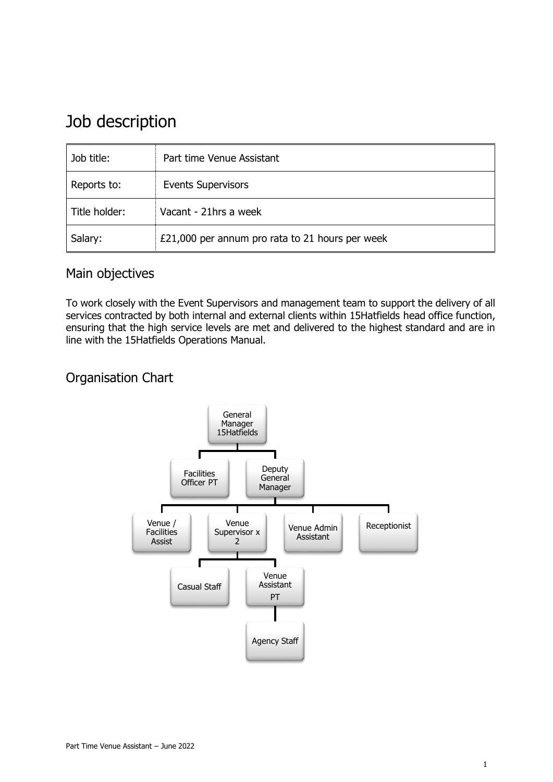# Job description

| Job title:    | Part time Venue Assistant                       |
|---------------|-------------------------------------------------|
| Reports to:   | <b>Events Supervisors</b>                       |
| Title holder: | Vacant - 21hrs a week                           |
| Salary:       | £21,000 per annum pro rata to 21 hours per week |

## Main objectives

To work closely with the Event Supervisors and management team to support the delivery of all services contracted by both internal and external clients within 15Hatfields head office function, ensuring that the high service levels are met and delivered to the highest standard and are in line with the 15Hatfields Operations Manual.

## Organisation Chart

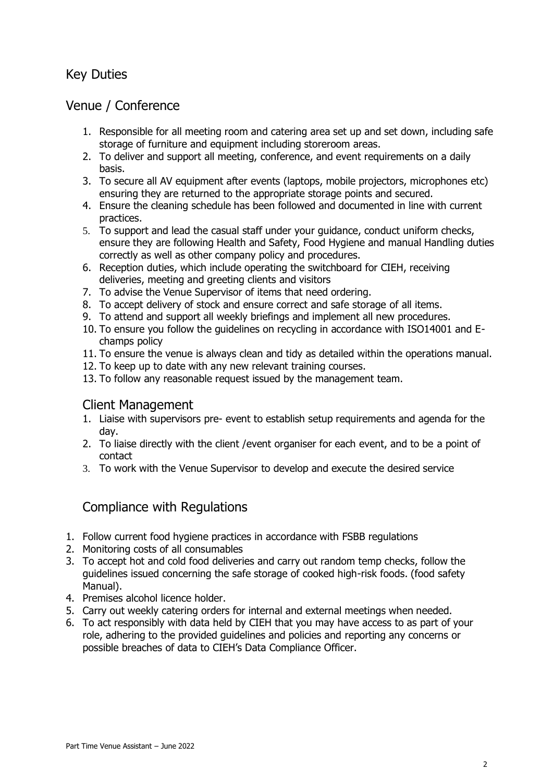# Key Duties

## Venue / Conference

- 1. Responsible for all meeting room and catering area set up and set down, including safe storage of furniture and equipment including storeroom areas.
- 2. To deliver and support all meeting, conference, and event requirements on a daily basis.
- 3. To secure all AV equipment after events (laptops, mobile projectors, microphones etc) ensuring they are returned to the appropriate storage points and secured.
- 4. Ensure the cleaning schedule has been followed and documented in line with current practices.
- 5. To support and lead the casual staff under your guidance, conduct uniform checks, ensure they are following Health and Safety, Food Hygiene and manual Handling duties correctly as well as other company policy and procedures.
- 6. Reception duties, which include operating the switchboard for CIEH, receiving deliveries, meeting and greeting clients and visitors
- 7. To advise the Venue Supervisor of items that need ordering.
- 8. To accept delivery of stock and ensure correct and safe storage of all items.
- 9. To attend and support all weekly briefings and implement all new procedures.
- 10. To ensure you follow the guidelines on recycling in accordance with ISO14001 and Echamps policy
- 11. To ensure the venue is always clean and tidy as detailed within the operations manual.
- 12. To keep up to date with any new relevant training courses.
- 13. To follow any reasonable request issued by the management team.

#### Client Management

- 1. Liaise with supervisors pre- event to establish setup requirements and agenda for the day.
- 2. To liaise directly with the client /event organiser for each event, and to be a point of contact
- 3. To work with the Venue Supervisor to develop and execute the desired service

## Compliance with Regulations

- 1. Follow current food hygiene practices in accordance with FSBB regulations
- 2. Monitoring costs of all consumables
- 3. To accept hot and cold food deliveries and carry out random temp checks, follow the guidelines issued concerning the safe storage of cooked high-risk foods. (food safety Manual).
- 4. Premises alcohol licence holder.
- 5. Carry out weekly catering orders for internal and external meetings when needed.
- 6. To act responsibly with data held by CIEH that you may have access to as part of your role, adhering to the provided guidelines and policies and reporting any concerns or possible breaches of data to CIEH's Data Compliance Officer.